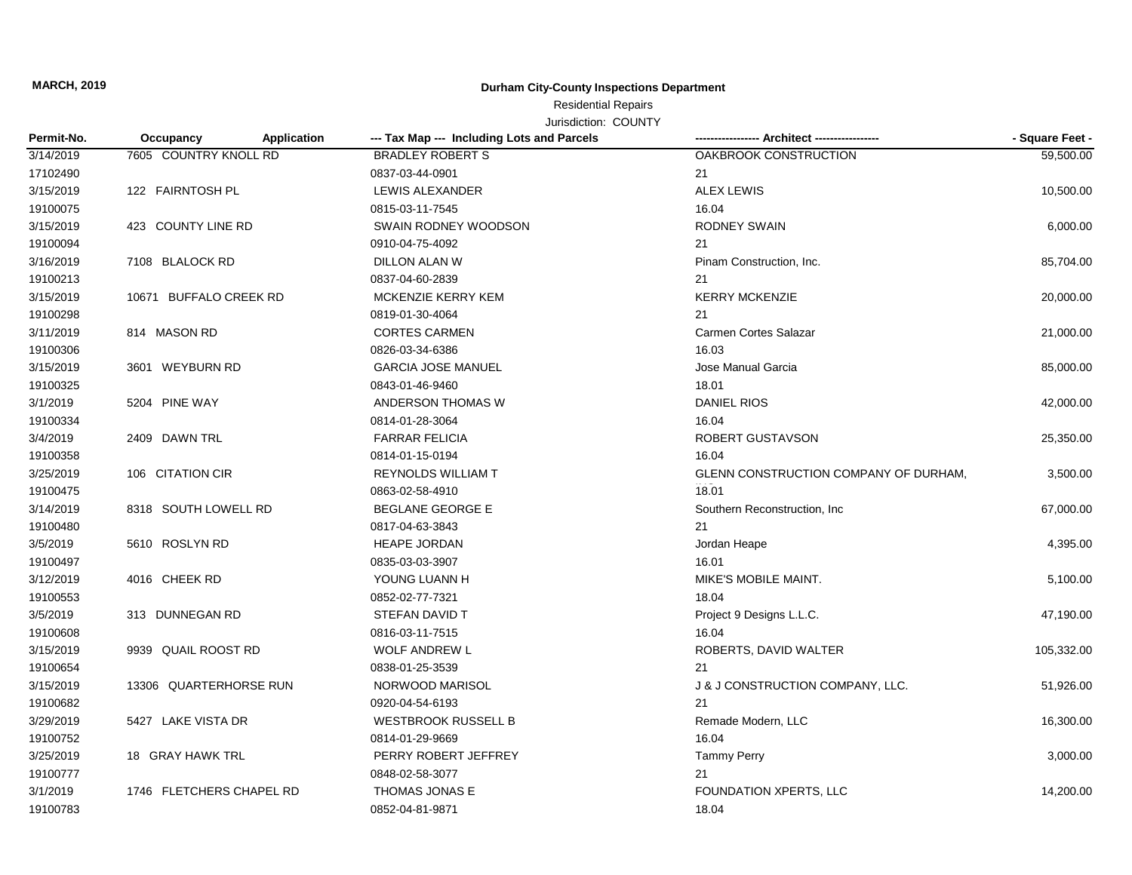**MARCH, 2019**

## **Durham City-County Inspections Department**

## Residential Repairs

Jurisdiction: COUNTY

| Permit-No. | Occupancy                | <b>Application</b> | --- Tax Map --- Including Lots and Parcels |                                       | - Square Feet - |
|------------|--------------------------|--------------------|--------------------------------------------|---------------------------------------|-----------------|
| 3/14/2019  | 7605 COUNTRY KNOLL RD    |                    | <b>BRADLEY ROBERT S</b>                    | OAKBROOK CONSTRUCTION                 | 59,500.00       |
| 17102490   |                          |                    | 0837-03-44-0901                            | 21                                    |                 |
| 3/15/2019  | 122 FAIRNTOSH PL         |                    | LEWIS ALEXANDER                            | <b>ALEX LEWIS</b>                     | 10,500.00       |
| 19100075   |                          |                    | 0815-03-11-7545                            | 16.04                                 |                 |
| 3/15/2019  | 423 COUNTY LINE RD       |                    | SWAIN RODNEY WOODSON                       | <b>RODNEY SWAIN</b>                   | 6,000.00        |
| 19100094   |                          |                    | 0910-04-75-4092                            | 21                                    |                 |
| 3/16/2019  | 7108 BLALOCK RD          |                    | DILLON ALAN W                              | Pinam Construction, Inc.              | 85,704.00       |
| 19100213   |                          |                    | 0837-04-60-2839                            | 21                                    |                 |
| 3/15/2019  | 10671 BUFFALO CREEK RD   |                    | MCKENZIE KERRY KEM                         | <b>KERRY MCKENZIE</b>                 | 20,000.00       |
| 19100298   |                          |                    | 0819-01-30-4064                            | 21                                    |                 |
| 3/11/2019  | 814 MASON RD             |                    | <b>CORTES CARMEN</b>                       | <b>Carmen Cortes Salazar</b>          | 21,000.00       |
| 19100306   |                          |                    | 0826-03-34-6386                            | 16.03                                 |                 |
| 3/15/2019  | 3601 WEYBURN RD          |                    | <b>GARCIA JOSE MANUEL</b>                  | Jose Manual Garcia                    | 85,000.00       |
| 19100325   |                          |                    | 0843-01-46-9460                            | 18.01                                 |                 |
| 3/1/2019   | 5204 PINE WAY            |                    | ANDERSON THOMAS W                          | <b>DANIEL RIOS</b>                    | 42,000.00       |
| 19100334   |                          |                    | 0814-01-28-3064                            | 16.04                                 |                 |
| 3/4/2019   | 2409 DAWN TRL            |                    | <b>FARRAR FELICIA</b>                      | ROBERT GUSTAVSON                      | 25,350.00       |
| 19100358   |                          |                    | 0814-01-15-0194                            | 16.04                                 |                 |
| 3/25/2019  | 106 CITATION CIR         |                    | <b>REYNOLDS WILLIAM T</b>                  | GLENN CONSTRUCTION COMPANY OF DURHAM, | 3,500.00        |
| 19100475   |                          |                    | 0863-02-58-4910                            | 18.01                                 |                 |
| 3/14/2019  | 8318 SOUTH LOWELL RD     |                    | <b>BEGLANE GEORGE E</b>                    | Southern Reconstruction, Inc.         | 67,000.00       |
| 19100480   |                          |                    | 0817-04-63-3843                            | 21                                    |                 |
| 3/5/2019   | 5610 ROSLYN RD           |                    | <b>HEAPE JORDAN</b>                        | Jordan Heape                          | 4,395.00        |
| 19100497   |                          |                    | 0835-03-03-3907                            | 16.01                                 |                 |
| 3/12/2019  | 4016 CHEEK RD            |                    | YOUNG LUANN H                              | MIKE'S MOBILE MAINT.                  | 5,100.00        |
| 19100553   |                          |                    | 0852-02-77-7321                            | 18.04                                 |                 |
| 3/5/2019   | 313 DUNNEGAN RD          |                    | STEFAN DAVID T                             | Project 9 Designs L.L.C.              | 47,190.00       |
| 19100608   |                          |                    | 0816-03-11-7515                            | 16.04                                 |                 |
| 3/15/2019  | 9939 QUAIL ROOST RD      |                    | <b>WOLF ANDREW L</b>                       | ROBERTS, DAVID WALTER                 | 105,332.00      |
| 19100654   |                          |                    | 0838-01-25-3539                            | 21                                    |                 |
| 3/15/2019  | 13306 QUARTERHORSE RUN   |                    | NORWOOD MARISOL                            | J & J CONSTRUCTION COMPANY, LLC.      | 51,926.00       |
| 19100682   |                          |                    | 0920-04-54-6193                            | 21                                    |                 |
| 3/29/2019  | 5427 LAKE VISTA DR       |                    | <b>WESTBROOK RUSSELL B</b>                 | Remade Modern, LLC                    | 16,300.00       |
| 19100752   |                          |                    | 0814-01-29-9669                            | 16.04                                 |                 |
| 3/25/2019  | 18 GRAY HAWK TRL         |                    | PERRY ROBERT JEFFREY                       | <b>Tammy Perry</b>                    | 3,000.00        |
| 19100777   |                          |                    | 0848-02-58-3077                            | 21                                    |                 |
| 3/1/2019   | 1746 FLETCHERS CHAPEL RD |                    | THOMAS JONAS E                             | FOUNDATION XPERTS, LLC                | 14,200.00       |
| 19100783   |                          |                    | 0852-04-81-9871                            | 18.04                                 |                 |